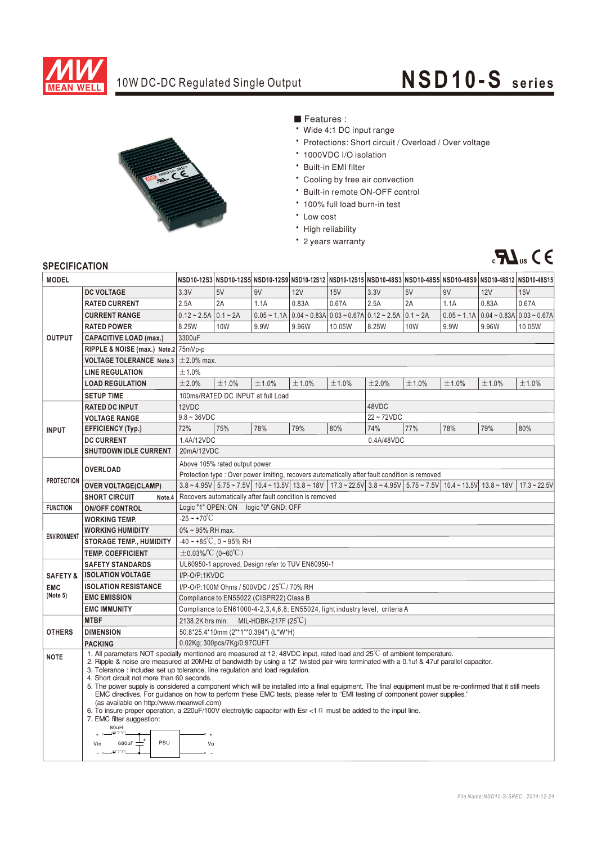

## 10W DC-DC Regulated Single Output

## **NSD10-S seri es**



- Features :
- Wide 4:1 DC input range
- \* Protections: Short circuit / Overload / Over voltage
- \* 1000VDC I/O isolation
- \* Built-in EMI filter
- \* Cooling by free air convection
- \* Built-in remote ON-OFF control
- \* 100% full load burn-in test
- Low cost
- High reliability
- \* 2 years warranty



## **SPECIFICATION**

| <b>MODEL</b>            |                                                                                                                                                                                                                                                                                                                                                                                                                                                                                                                                                                                                                                                                                                                                                                                                                                                                                                                                               |                                                                                                |                             |                                       |                                                                                          |        |              |                                                                                                                                |               |                                  |                                                                                                                   |
|-------------------------|-----------------------------------------------------------------------------------------------------------------------------------------------------------------------------------------------------------------------------------------------------------------------------------------------------------------------------------------------------------------------------------------------------------------------------------------------------------------------------------------------------------------------------------------------------------------------------------------------------------------------------------------------------------------------------------------------------------------------------------------------------------------------------------------------------------------------------------------------------------------------------------------------------------------------------------------------|------------------------------------------------------------------------------------------------|-----------------------------|---------------------------------------|------------------------------------------------------------------------------------------|--------|--------------|--------------------------------------------------------------------------------------------------------------------------------|---------------|----------------------------------|-------------------------------------------------------------------------------------------------------------------|
|                         |                                                                                                                                                                                                                                                                                                                                                                                                                                                                                                                                                                                                                                                                                                                                                                                                                                                                                                                                               |                                                                                                |                             |                                       |                                                                                          |        |              |                                                                                                                                |               |                                  | NSD10-12S3 NSD10-12S5 NSD10-12S9 NSD10-12S12 NSD10-12S15 NSD10-48S3 NSD10-48S5 NSD10-48S9 NSD10-48S12 NSD10-48S15 |
| <b>OUTPUT</b>           | <b>DC VOLTAGE</b>                                                                                                                                                                                                                                                                                                                                                                                                                                                                                                                                                                                                                                                                                                                                                                                                                                                                                                                             | 3.3V                                                                                           | 5V                          | 9V                                    | 12V                                                                                      | 15V    | 3.3V         | 5V                                                                                                                             | 9V            | 12V                              | 15V                                                                                                               |
|                         | <b>RATED CURRENT</b>                                                                                                                                                                                                                                                                                                                                                                                                                                                                                                                                                                                                                                                                                                                                                                                                                                                                                                                          | 2.5A                                                                                           | 2A                          | 1.1A                                  | 0.83A                                                                                    | 0.67A  | 2.5A         | 2A                                                                                                                             | 1.1A          | 0.83A                            | 0.67A                                                                                                             |
|                         | <b>CURRENT RANGE</b>                                                                                                                                                                                                                                                                                                                                                                                                                                                                                                                                                                                                                                                                                                                                                                                                                                                                                                                          | $0.12 - 2.5A$                                                                                  | $0.1 - 2A$                  |                                       | $0.05 \sim 1.1$ A $\mid 0.04 \sim 0.83$ A $\mid 0.03 \sim 0.67$ A $\mid 0.12 \sim 2.5$ A |        |              | $0.1 - 2A$                                                                                                                     | $0.05 - 1.1A$ | $0.04 - 0.83A \mid 0.03 - 0.67A$ |                                                                                                                   |
|                         | <b>RATED POWER</b>                                                                                                                                                                                                                                                                                                                                                                                                                                                                                                                                                                                                                                                                                                                                                                                                                                                                                                                            | 8.25W                                                                                          | <b>10W</b>                  | 9.9W                                  | 9.96W                                                                                    | 10.05W | 8.25W        | <b>10W</b>                                                                                                                     | 9.9W          | 9.96W                            | 10.05W                                                                                                            |
|                         | <b>CAPACITIVE LOAD (max.)</b>                                                                                                                                                                                                                                                                                                                                                                                                                                                                                                                                                                                                                                                                                                                                                                                                                                                                                                                 | 3300uF                                                                                         |                             |                                       |                                                                                          |        |              |                                                                                                                                |               |                                  |                                                                                                                   |
|                         | RIPPLE & NOISE (max.) Note.2 75mVp-p                                                                                                                                                                                                                                                                                                                                                                                                                                                                                                                                                                                                                                                                                                                                                                                                                                                                                                          |                                                                                                |                             |                                       |                                                                                          |        |              |                                                                                                                                |               |                                  |                                                                                                                   |
|                         | <b>VOLTAGE TOLERANCE</b> Note.3 $\pm$ 2.0% max.                                                                                                                                                                                                                                                                                                                                                                                                                                                                                                                                                                                                                                                                                                                                                                                                                                                                                               |                                                                                                |                             |                                       |                                                                                          |        |              |                                                                                                                                |               |                                  |                                                                                                                   |
|                         | <b>LINE REGULATION</b>                                                                                                                                                                                                                                                                                                                                                                                                                                                                                                                                                                                                                                                                                                                                                                                                                                                                                                                        | ±1.0%                                                                                          |                             |                                       |                                                                                          |        |              |                                                                                                                                |               |                                  |                                                                                                                   |
|                         | <b>LOAD REGULATION</b>                                                                                                                                                                                                                                                                                                                                                                                                                                                                                                                                                                                                                                                                                                                                                                                                                                                                                                                        | ±2.0%                                                                                          | ±1.0%                       | ±1.0%                                 | ±1.0%                                                                                    | ±1.0%  | ±2.0%        | ±1.0%                                                                                                                          | ±1.0%         | ±1.0%                            | ±1.0%                                                                                                             |
|                         | <b>SETUP TIME</b>                                                                                                                                                                                                                                                                                                                                                                                                                                                                                                                                                                                                                                                                                                                                                                                                                                                                                                                             |                                                                                                |                             | 100ms/RATED DC INPUT at full Load     |                                                                                          |        |              |                                                                                                                                |               |                                  |                                                                                                                   |
| <b>INPUT</b>            | <b>RATED DC INPUT</b>                                                                                                                                                                                                                                                                                                                                                                                                                                                                                                                                                                                                                                                                                                                                                                                                                                                                                                                         | 12VDC                                                                                          |                             |                                       |                                                                                          |        | 48VDC        |                                                                                                                                |               |                                  |                                                                                                                   |
|                         | <b>VOLTAGE RANGE</b>                                                                                                                                                                                                                                                                                                                                                                                                                                                                                                                                                                                                                                                                                                                                                                                                                                                                                                                          | $9.8 \sim 36$ VDC                                                                              |                             |                                       |                                                                                          |        | $22 - 72VDC$ |                                                                                                                                |               |                                  |                                                                                                                   |
|                         | <b>EFFICIENCY (Typ.)</b>                                                                                                                                                                                                                                                                                                                                                                                                                                                                                                                                                                                                                                                                                                                                                                                                                                                                                                                      | 72%                                                                                            | 75%                         | 78%                                   | 79%                                                                                      | 80%    | 74%          | 77%                                                                                                                            | 78%           | 79%                              | 80%                                                                                                               |
|                         | <b>DC CURRENT</b>                                                                                                                                                                                                                                                                                                                                                                                                                                                                                                                                                                                                                                                                                                                                                                                                                                                                                                                             | 1.4A/12VDC                                                                                     |                             |                                       |                                                                                          |        | 0.4A/48VDC   |                                                                                                                                |               |                                  |                                                                                                                   |
|                         | <b>SHUTDOWN IDLE CURRENT</b>                                                                                                                                                                                                                                                                                                                                                                                                                                                                                                                                                                                                                                                                                                                                                                                                                                                                                                                  | 20mA/12VDC                                                                                     |                             |                                       |                                                                                          |        |              |                                                                                                                                |               |                                  |                                                                                                                   |
| <b>PROTECTION</b>       |                                                                                                                                                                                                                                                                                                                                                                                                                                                                                                                                                                                                                                                                                                                                                                                                                                                                                                                                               | Above 105% rated output power                                                                  |                             |                                       |                                                                                          |        |              |                                                                                                                                |               |                                  |                                                                                                                   |
|                         | <b>OVERLOAD</b>                                                                                                                                                                                                                                                                                                                                                                                                                                                                                                                                                                                                                                                                                                                                                                                                                                                                                                                               | Protection type : Over power limiting, recovers automatically after fault condition is removed |                             |                                       |                                                                                          |        |              |                                                                                                                                |               |                                  |                                                                                                                   |
|                         | <b>OVER VOLTAGE(CLAMP)</b>                                                                                                                                                                                                                                                                                                                                                                                                                                                                                                                                                                                                                                                                                                                                                                                                                                                                                                                    |                                                                                                |                             |                                       |                                                                                          |        |              | $3.8 - 4.95V$ 5.75 $- 7.5V$ 10.4 $- 13.5V$ 13.8 $- 18V$ 17.3 $- 22.5V$ 3.8 $- 4.95V$ 5.75 $- 7.5V$ 10.4 $- 13.5V$ 13.8 $- 18V$ |               |                                  | $17.3 - 22.5V$                                                                                                    |
|                         | <b>SHORT CIRCUIT</b><br>Note.4                                                                                                                                                                                                                                                                                                                                                                                                                                                                                                                                                                                                                                                                                                                                                                                                                                                                                                                | Recovers automatically after fault condition is removed                                        |                             |                                       |                                                                                          |        |              |                                                                                                                                |               |                                  |                                                                                                                   |
| <b>FUNCTION</b>         | <b>ON/OFF CONTROL</b>                                                                                                                                                                                                                                                                                                                                                                                                                                                                                                                                                                                                                                                                                                                                                                                                                                                                                                                         | Logic "1" OPEN: ON    logic "0" GND: OFF                                                       |                             |                                       |                                                                                          |        |              |                                                                                                                                |               |                                  |                                                                                                                   |
| <b>ENVIRONMENT</b>      | <b>WORKING TEMP.</b>                                                                                                                                                                                                                                                                                                                                                                                                                                                                                                                                                                                                                                                                                                                                                                                                                                                                                                                          | $-25 - +70^{\circ}C$                                                                           |                             |                                       |                                                                                          |        |              |                                                                                                                                |               |                                  |                                                                                                                   |
|                         | <b>WORKING HUMIDITY</b>                                                                                                                                                                                                                                                                                                                                                                                                                                                                                                                                                                                                                                                                                                                                                                                                                                                                                                                       | $0\% \sim 95\%$ RH max.                                                                        |                             |                                       |                                                                                          |        |              |                                                                                                                                |               |                                  |                                                                                                                   |
|                         | <b>STORAGE TEMP., HUMIDITY</b>                                                                                                                                                                                                                                                                                                                                                                                                                                                                                                                                                                                                                                                                                                                                                                                                                                                                                                                | $-40 \sim +85^{\circ}$ C. 0 ~ 95% RH                                                           |                             |                                       |                                                                                          |        |              |                                                                                                                                |               |                                  |                                                                                                                   |
|                         | TEMP. COEFFICIENT                                                                                                                                                                                                                                                                                                                                                                                                                                                                                                                                                                                                                                                                                                                                                                                                                                                                                                                             | $\pm$ 0.03% $\degree$ C (0~60 $\degree$ C)                                                     |                             |                                       |                                                                                          |        |              |                                                                                                                                |               |                                  |                                                                                                                   |
| <b>SAFETY STANDARDS</b> |                                                                                                                                                                                                                                                                                                                                                                                                                                                                                                                                                                                                                                                                                                                                                                                                                                                                                                                                               | UL60950-1 approved, Design refer to TUV EN60950-1                                              |                             |                                       |                                                                                          |        |              |                                                                                                                                |               |                                  |                                                                                                                   |
| <b>SAFETY &amp;</b>     | <b>ISOLATION VOLTAGE</b>                                                                                                                                                                                                                                                                                                                                                                                                                                                                                                                                                                                                                                                                                                                                                                                                                                                                                                                      | I/P-O/P:1KVDC                                                                                  |                             |                                       |                                                                                          |        |              |                                                                                                                                |               |                                  |                                                                                                                   |
| <b>EMC</b>              | <b>ISOLATION RESISTANCE</b>                                                                                                                                                                                                                                                                                                                                                                                                                                                                                                                                                                                                                                                                                                                                                                                                                                                                                                                   | I/P-O/P:100M Ohms / 500VDC / 25°C/70% RH                                                       |                             |                                       |                                                                                          |        |              |                                                                                                                                |               |                                  |                                                                                                                   |
| (Note 5)                | <b>EMC EMISSION</b>                                                                                                                                                                                                                                                                                                                                                                                                                                                                                                                                                                                                                                                                                                                                                                                                                                                                                                                           | Compliance to EN55022 (CISPR22) Class B                                                        |                             |                                       |                                                                                          |        |              |                                                                                                                                |               |                                  |                                                                                                                   |
|                         | <b>EMC IMMUNITY</b>                                                                                                                                                                                                                                                                                                                                                                                                                                                                                                                                                                                                                                                                                                                                                                                                                                                                                                                           | Compliance to EN61000-4-2, 3, 4, 6, 8; EN55024, light industry level, criteria A               |                             |                                       |                                                                                          |        |              |                                                                                                                                |               |                                  |                                                                                                                   |
|                         | <b>MTBF</b>                                                                                                                                                                                                                                                                                                                                                                                                                                                                                                                                                                                                                                                                                                                                                                                                                                                                                                                                   | MIL-HDBK-217F $(25^{\circ}C)$<br>2138.2K hrs min.                                              |                             |                                       |                                                                                          |        |              |                                                                                                                                |               |                                  |                                                                                                                   |
| <b>OTHERS</b>           | <b>DIMENSION</b>                                                                                                                                                                                                                                                                                                                                                                                                                                                                                                                                                                                                                                                                                                                                                                                                                                                                                                                              |                                                                                                |                             | 50.8*25.4*10mm (2"*1"*0.394") (L*W*H) |                                                                                          |        |              |                                                                                                                                |               |                                  |                                                                                                                   |
|                         | <b>PACKING</b>                                                                                                                                                                                                                                                                                                                                                                                                                                                                                                                                                                                                                                                                                                                                                                                                                                                                                                                                |                                                                                                | 0.02Kg; 300pcs/7Kg/0.97CUFT |                                       |                                                                                          |        |              |                                                                                                                                |               |                                  |                                                                                                                   |
| <b>NOTE</b>             | 1. All parameters NOT specially mentioned are measured at 12, 48VDC input, rated load and 25°C of ambient temperature.<br>2. Ripple & noise are measured at 20MHz of bandwidth by using a 12" twisted pair-wire terminated with a 0.1uf & 47uf parallel capacitor.<br>3. Tolerance: includes set up tolerance, line regulation and load regulation.<br>4. Short circuit not more than 60 seconds.<br>5. The power supply is considered a component which will be installed into a final equipment. The final equipment must be re-confirmed that it still meets<br>EMC directives. For quidance on how to perform these EMC tests, please refer to "EMI testing of component power supplies."<br>(as available on http://www.meanwell.com)<br>6. To insure proper operation, a 220uF/100V electrolytic capacitor with Esr <1 $\Omega$ must be added to the input line.<br>7. EMC filter suggestion:<br>80uH<br>ണ<br>PSU<br>680uF<br>Vin<br>Vo |                                                                                                |                             |                                       |                                                                                          |        |              |                                                                                                                                |               |                                  |                                                                                                                   |